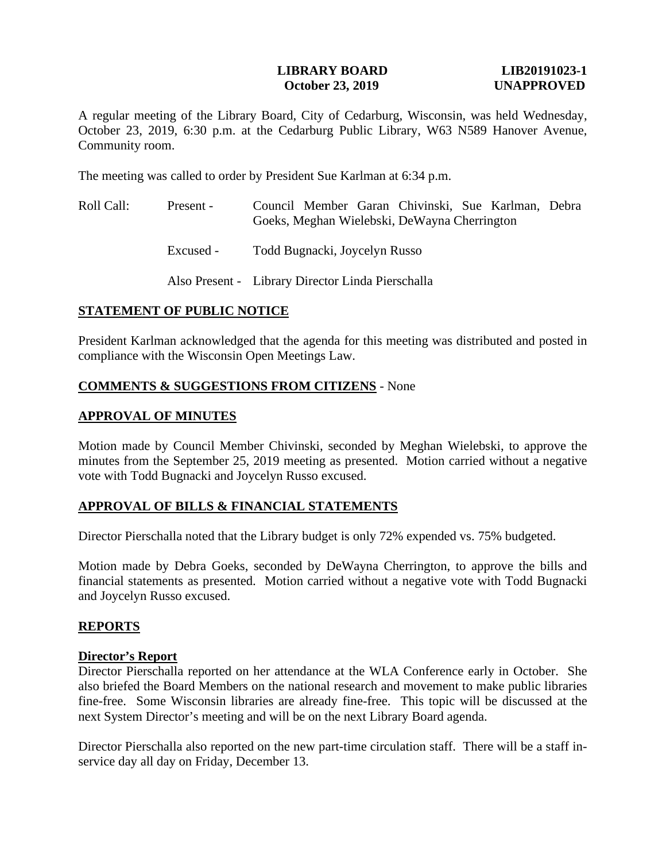### **LIBRARY BOARD LIB20191023-1 October 23, 2019** UNAPPROVED

A regular meeting of the Library Board, City of Cedarburg, Wisconsin, was held Wednesday, October 23, 2019, 6:30 p.m. at the Cedarburg Public Library, W63 N589 Hanover Avenue, Community room.

The meeting was called to order by President Sue Karlman at 6:34 p.m.

- Roll Call: Present Council Member Garan Chivinski, Sue Karlman, Debra Goeks, Meghan Wielebski, DeWayna Cherrington
	- Excused Todd Bugnacki, Joycelyn Russo

Also Present - Library Director Linda Pierschalla

## **STATEMENT OF PUBLIC NOTICE**

President Karlman acknowledged that the agenda for this meeting was distributed and posted in compliance with the Wisconsin Open Meetings Law.

# **COMMENTS & SUGGESTIONS FROM CITIZENS** - None

## **APPROVAL OF MINUTES**

Motion made by Council Member Chivinski, seconded by Meghan Wielebski, to approve the minutes from the September 25, 2019 meeting as presented. Motion carried without a negative vote with Todd Bugnacki and Joycelyn Russo excused.

# **APPROVAL OF BILLS & FINANCIAL STATEMENTS**

Director Pierschalla noted that the Library budget is only 72% expended vs. 75% budgeted.

Motion made by Debra Goeks, seconded by DeWayna Cherrington, to approve the bills and financial statements as presented. Motion carried without a negative vote with Todd Bugnacki and Joycelyn Russo excused.

### **REPORTS**

### **Director's Report**

Director Pierschalla reported on her attendance at the WLA Conference early in October. She also briefed the Board Members on the national research and movement to make public libraries fine-free. Some Wisconsin libraries are already fine-free. This topic will be discussed at the next System Director's meeting and will be on the next Library Board agenda.

Director Pierschalla also reported on the new part-time circulation staff. There will be a staff inservice day all day on Friday, December 13.